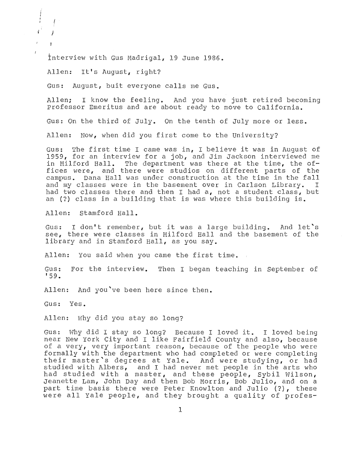Interview with Gus Madrigal, 19 June 1986.

Allen: It's August, right?

*)* 

Gus: August, buit everyone calls me Gus.

Allen; I know the feeling. And you have just retired becoming Professor Emeritus and are about ready to move to California.

Gus: On the third of July. On the tenth of July more or less.

Allen: Now, when did you first come to the University?

The first time I came was in, I believe it was in August of Gus: 1959, for an interview for a job, and Jim Jackson in Milford Hall. The department was there at fices were, and there were studios on di Dana Hall was under construction at classes were in basement over I two classes there and then I had a, not an (?) class in a building that is was where this building is.

Allen: Stamford Hall.

Gus: see, there were classes in Milford Hall library and in Stamford Hall, as you say. I don't remember, but it was a large building. And let's

len: You said when you came

Gus: For the interview. Then I began teaching in September of <sup>1</sup> 59.

Allen: And you've been here since then.

Gus: Yes.

Allen: Why did you stay so long?

Gus: Why did I stay so long? Because I loved it. I loved being near New York City and I like Fairfield County and also, because of a very, very important reason, because of the people who were formally with the department who had completed or were completing their master's degrees at Yale. And were studying, or ha studied with Albers, and I had never met people in the arts who had studied with a master, and these people, Sybil Wilson, Jeanette Lam, John Day and then Bob Morris, Bob Julio, and on a part time basis there were Peter Knowlton and Julio (?), these were all Yale people, and they brought a quality of profes-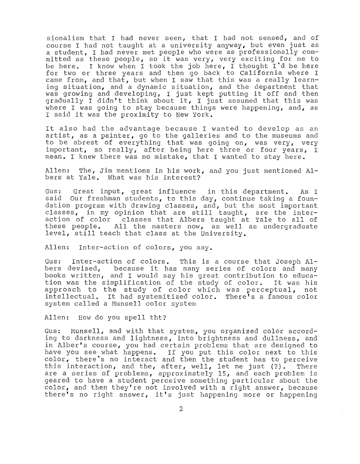sionalism that I had never seen, that I had not sensed, and of course I had not taught at a university anyway, but even just as a student, I had never met people who were as professionally committed as these people, so it was very, very exciting for me to I know when I took the job here, I thought I'd be here be here. for two or three years and then go back to California where I came from, and that, but when I saw that this was a really learnc situation, , I just k gradually I didn't think about it, I just assumed that this was where I was going to stay because things were happening, and, as I said it was the proximity to New York.

It also had the advantage because I wanted to develop as an artist, as a painter, go to the galleries and to the museums and to be abrest of everything that was going on, was very, very important, so really, after being here three or four years, I mean. I knew there was no mistake, that I wanted to stay here.

Allen: The, Jim mentions in his work, and you just mentioned Albers at Yale. What was his interest?

Gus: Great input, great infl our freshman students, to this day, continue taking a founion program with d classes, in my opinion that are still taught, are action of color classes that Albers taught at these people. e people. All the masters now, as well<br>1, still teach that class at the University. All the masters now, as well as undergr As I

Allen: Inter-action of colors, you say.

Gus: Inter-action of colors. This is a course that Joseph Al-<br>bers devised, because it has many series of colors and many because it has many series of colors and many books written, and I would say his great contri tion was the simplification of the study of color. roach to the study of color which intellectual. It had systemitized color. system called a Munsell color system was perce re's <sup>a</sup> It was his not  $color$ 

Allen: How do you spell tht?

Gus: Munsell, and with that system, you organized color accordto darkness and lightness, into brightness and dullness, and in Alber's course, you had certain problems that are designed to you see what happens. If you put this color next to color, there's no interact and then the student has to this interaction, and the, after, well, let me just (<br>are a series of problems, approximately 15, and each is interaction, and the, after, well, let me just (?). There geared to have a student perceive something particular geared to have a stadent perceive something partreatar about the<br>color, and then they're not involved with a right answer, because color, and then they re not involved with a right answe<br>there's no right answer, it's just happening more or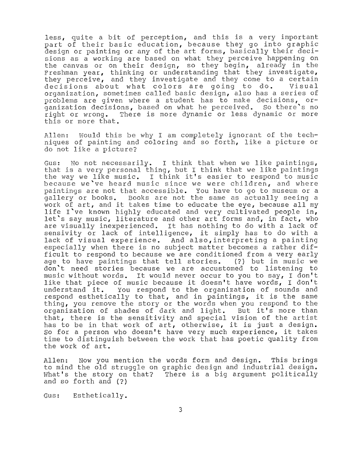less, quite a bit of perception, and this is a very important part of their basic education, because they go into graphic design or painting or any of the art forms, basically their decisions as a working are based on what they perceive happening on canvas or on their design, so they begin, already in the Freshman year, thinking or understanding that they investigate, r just, enfining of andersommaing enacting interestigate ency percerve, and ency investigate and ency come to a certain decisions about what colors are going to do. Visual organization, sometimes called basic design, also has a series of problems are given where a student has to make decisions, organization decisions, based on what he perceived. So there's no<br>right or wrong. There is more dynamic or less dynamic or more There is more dynamic or less dynamic or more this or more that.

I am completely ignorant of the t coloring and so forth, like a picture or do not like a picture?

Gus: No not necessarily. I think that when we like paintings, that is a very personal thing, but I think that we like paintings the way we like music. I think it's easier to respond to music because we've heard music since we were children, and where paintings are not that accessible. You have to go to museum or a or books. Books are not the same as actually seeing a of books. Books are not the same as actually seeing a<br>art, and it takes time to educate the eye, because all my life I've known highly educated and very cultivated people in, let's say music, literature and other art forms and, in fact, who are visually inexperienced. It has nothing to do with a lack of sensivity or lack of intelligence, it simply has to do with a lack of visual experience. And also, interpreting a painting especially when there is no subject matter becomes a rather difficult to respond to because we are conditioned from a very early<br>age to have paintings that tell stories. (?) but in music we age to have paintings that tell stories. don't need stories because we are accustomed to listening to music without words. It would never occur to you to say, I don't like that piece of music because it doesn't have words, I don't understand it. You respond to the organization of sounds and You respond to the organization of sounds and rou respond to the organization of sounds and<br>ically to that, and in paintings, it is the same , you remove the story or the words when you respond to organization of shades of dark and light. But it's more than that, there is the sensitivity and special vision of the artist has to be in that work of art, otherwise, it is just a design. So for a person who doesn't have very much experience, it takes time to distinguish between the work that has poetic quality from the work of art.

Now you mention the words form and design. This brings Allen: to mind the old struggle on graphic design and industrial design. What's the story on that? There is a big argument politically and so forth and

Gus: Esthetically.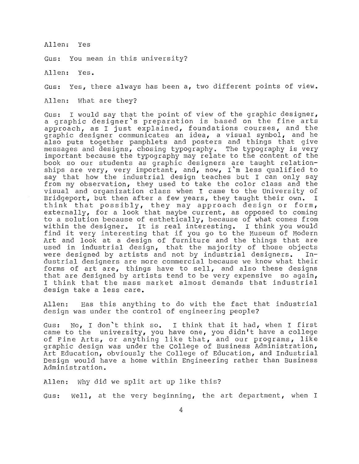Allen: Yes

Gus: You mean in this university?

Allen: Yes.

Gus: Yes, there always has been a, two different points of view.

Allen: What are they?

Gus: I would say that the point of view of the graphic designer, a graphic designer's preparation is based on the fine arts approach, as I just explained, foundations courses, and the graphic designer communicates an idea, a visual symbol, and he also puts together pamphlets and posters and things that give messages and designs, chosing typography. The typography is very important because the typography may relate to the content of the<br>book so our students as graphic designers are taught relationships are very, very important, and, now, I'm less qualified to say that how the industrial design teaches but I can only say from my observation, they used to take the color class and the visual and organization class when I came to the University of<br>Bridgeport, but then after a few years, they taught their own. I Bridgeport, but then after a few years, they taught their own. think that possibly, they may approach design or form, externally, for a look that maybe current, as opposed to coming to a solution because of esthetically, because of what comes from es a solution because of estherically, because of what comes from find it very interesting that if you go to the Museum of Modern Art and look at a design of furniture and the things that are used in industrial design, that the majority of those objects<br>were designed by artists and not by industrial designers. Inwere designed by artists and not by industrial designers. dustrial designers are more commercial because we know what their forms of art are, things have to sell, and also these designs that are designed by artists tend to be very expensive so again, I think that the mass market almost demands that industrial design take a less care.

Allen: Has this anything to do with the fact that industrial r the control of engineering people?

Gus: No, I don't think so. I think that it had, when I first came to the university, you have one, you didn't have a college of Fine Arts, or anything like that, and our programs, like graphic design was under the College of Business Administration, Art Education, obviously the College of Education, and Industrial Design would have a home within Engineering rather than Business Administration.

Allen: Why did we split art up like this?

Gus: Well, at the very beginning, the art department, when I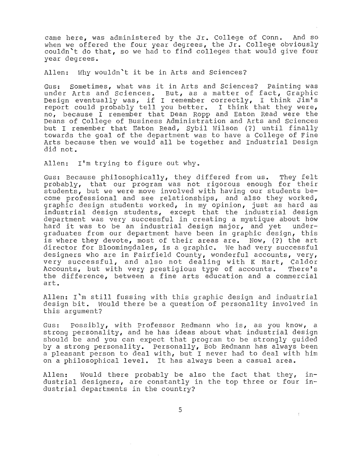came here, was administered by the Jr. College of Conn. And so when we offered the four year degrees, the  $Jr$ . College obviously couldn't do that, so we had to find colleges that would give four year degrees.

Allen: Why wouldn't it be in Arts and Sciences?

Gus: Sometimes, what was it in Arts and Sciences? Painting was under Arts and Sciences. But, as a matter of fact, Graphic Design eventually was, if I remember correctly, I think  $\text{Jim's}$ report could probably tell you better. I think that they were, no, because I remember that Dean Ropp and Eaton Read were the Deans of College of Business Administration and Arts and Sc but I remember that Eaton Read, Sybil Wilson (?) until finally towards the goal of the department was to have a College of Fine Arts because then we would all be together and Industrial Design did not.

Allen: I'm trying to figure out why.

Gus: Because philosophically, they differed from us. They felt probably, that our program was not rigorous enough for their students, but we were move involved with having our students become professional and see relationships, and also they worked, graphic design students worked, in my opinion, just as hard as industrial design students, except that the industrial design department was very successful in creating a mystique about how<br>hard it was to be an industrial design major, and yet underhard it was to be an industrial design major, and yet graduates from our department have been in graphic design, this is where they devote, most of their areas are. Now, (?) the art director for Bloomingdales, is a graphic. We had very successful designers who are in Fairfield County, wonderful accounts, very, very successful, and also not dealing with K Mart, Caldor<br>Accounts, but with very prestigious type of accounts. There's Accounts, but with very prestigious type of accounts. the difference, between a fine arts education and a commercial art.

Allen: I'm still fussing with this graphic design and industrial design bit. Would there be a question of personality involved in this argument?

Gus: Possibly, with Professor Redmann who is, as you know, a strong personality, and he has ideas about what industrial design should be and you can expect that program to be strongly quided by a strong personality. Personally, Bob Redmann has always been a pleasant person to deal with, but I never had to deal with him on a philosophical level. It has always been a casual area.

Allen: Would there probably be also the fact that they, Allen: Would there probably be also the fact that they, in-<br>dustrial designers, are constantly in the top three or four industrial departments in the country?

5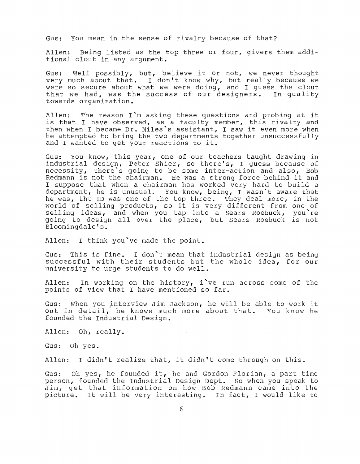Gus: You mean in the sense of rivalry because of that?

Allen: Being listed as the top three or four, givers them additional clout in any argument.

Gus: Well possibly, but, believe it or not, we never thought very much about that. I don't know why, but really because we were so secure about what we were doing, and I guess the clout that we had, was the success of our designers. In quality towards organization.

Allen: The reason I'm asking these questions and probing at it is that I have observed, as a faculty member, this rivalry and then when I became Dr. Miles's assistant, I saw it even more when he attempted to bring the two departments together unsuccessfully and I wanted to get your reactions to it.

Gus: You know, this year, one of our teachers taught drawing in industrial design, Peter Shier, so there's, I quess because of necessity, there's going to be some inter-action and also, Bob Redmann is not the chairman. He was a strong force behind it and I suppose that when a chairman has worked very hard to build a department, he is unusual. You know, being, I wasn't aware that he was, tht ID was one of the top three. They deal more, in the world of selling products, so it is very different from one of selling ideas, and when you tap into a Sears Roebuck, you're beiting recept and when you cap inco a bears Roebuck, you is Bloomingdale's.

Allen: I think you've made the point.

Gus: This is fine. I don't mean that industrial design as be: successful with their students but the whole idea, for our university to urge students to do well.

Allen: In working on the history, i've run across some of the points of view that I have mentioned so far.

Gus: When you interview Jim Jackson, he will be able to work it out in detail, he knows much more about that. You know he founded the Industrial Design.

Allen: Oh, really.

Gus: Oh yes.

Allen: I didn't realize that, it didn't come through on this.

Gus: Oh yes, he founded it, he and Gordon Florian, a part time person, founded the Industrial Design Dept. So when you speak to Jim, get that information on how Bob Redmann came into the bim, yet that information on now bob Redmann came into the<br>picture. It will be very interesting. In fact, I would like to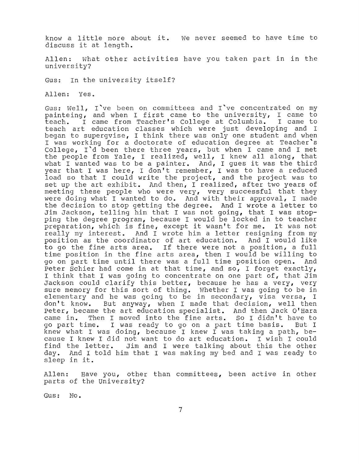know a little more about it. We never seemed to have time to discuss it at length.

Allen: What other activities have you taken part in in the university?

Gus: In the university itself?

Allen: Yes.

Gus: Well, I've been on committees and I've concentrated on my painteing, and when I first came to the university, I came to<br>teach. I came from Teacher's College at Columbia. I came to I came from Teacher's College at Columbia. I came to teach art education classes which were just developing and <sup>I</sup> began to supergvise, I think there was only one student and when I was working for a doctorate of education degree at Teacher's College, I'd been there three years, but when I came and I met the people from  $Yale$ , I realized, well, I knew all along, that what I wanted was to be a painter. And, I gues it was the third year that I was here, I don't remember, I was to have a reduced load so that I could write the project, and the project was to set up the art exhibit. And then, I realized, after two years of meeting these people who were very, very successful that they were doing what I wanted to do. And with their approval, I made the decision to stop getting the degree. And I wrote a letter to Jim Jackson, telling him that I was not going, that I was stopping the degree program, because I would be locked in to teacher preparation, which is fine, except it wasn't for me. It was not really my interest. And I wrote him a letter resigning from my position as the coordinator of art education. And I would like to go the fine arts area. If there were not a position, a full time position in the fine arts area, then I would be willing to go on part time until there was a full time position open. And Peter Schier had come in at that time, and so, I forget exactly, I think that I was going to concentrate on one part of, that Jim Jackson could clarify this better, because he has a very, very sure memory for this sort of thing. Whether I was going to be in elementary and he was going to be in secondary, visa versa, I<br>don't know. But anyway, when I made that decision, well then But anyway, when I made that decision, well then Peter, became the art education specialist. And then Jack O'Hara<br>came in. Then I moved into the fine arts. So I didn't have to came in. Then I moved into the fine arts. So I didn't have to go part time. I was ready to go on a part time basis. But I go part time. I was ready to go on a part time basis. But I<br>knew what I was doing, because I knew I was taking a path, because I knew I did not want to do art education. I wish I could find the letter. Jim and I were talking about this the other day. And I told him that I was making my bed and I was ready to sleep in it.

Allen: parts of the University? Have you, other than committees, been active in other

Gus: No.

7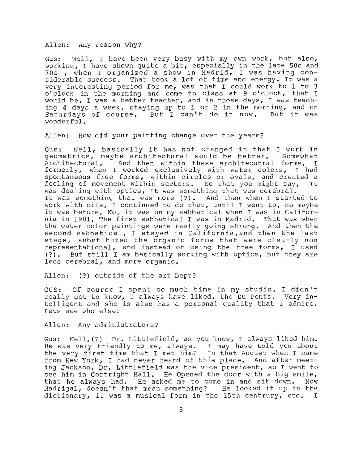Allen: Any reason why?

Gus: Well, I have been very busy with my own work, but also, working, I have shown quite a bit, especially in the late 50s and 70s , when I organized a show in Madrid, I was having considerable success. That took a lot of time and energy. It was a very interesting period for me, was that I could work to 1 to 3 o' clock in the morning and come to class at 9 o'clock, that I would be, I was a better teacher, and in those days, I was teaching 4 days a week, staying up to 1 or 2 in the morning, and on<br>Saturdays of course, But I can't do it now. But it was Saturdays of course, But I can't do it now. wonderful.

Allen: How did your painting change over the years?

Gus: Well, basically it has not changed in that I work in geometrics, maybe architectural would be better, Somewhat geometrics, maybe architectural would be better,<br>Architectural, and then within these architecutral And then within these architecutral forms, I formerly, when I worked exclusively with water colors, I had spontaneous free forms, within circles or ovals, and created a<br>feeling of movement within sectors. So that you might say, It feeling of movement within sectors. So that you might say, was dealing with optics, It was something that was cerebral. It was something that was more (?). And then when I started to work with oils, I continued to do that, until I went to, no maybe it was before, No, it was on my sabbatical when I was in California in 1981, The first sabbatical I was in Madrid. That was when the water color paintings were really going strong. And then the second sabbatical, I stayed in California,and then the last stage, substituted the organic forms that were clearly non representational, and instead of using the free forms, I used<br>(?). But still I am basically working with optics, but they are But still I am basically working with optics, but they are less cerebral, and more organic.

Allen: (?) outside of the art Dept?

GUS: Of course I spent so much time in my studio, I didn't really get to know, I always have liked, the Du Ponts. Very intelligent and she is also has a personal quality that I admire. Lets see who else?

Allen: Any administrators?

Gus: Well, (?) Dr. Littlefield, as you know, I always liked him. He was very friendly to me, always. I may have told you about the very first time that I met him? In that August when I came the very first time that I met him? from New York, I had never heard of this place. And after meeting Jackson, Dr. Littlefield was the vice president, so I went to see him in Cortright Hall. He Opened the door with a big smile, that he always had. He asked me to come in and sit down. Now<br>Madrigal, doesn't that mean something? He looked it up in the Madrigal, doesn't that mean something? He looked it up in the<br>dictionary, it was a musical form in the 15th centrury, etc. I dictionary, it was a musical form in the 15th centrury, etc.